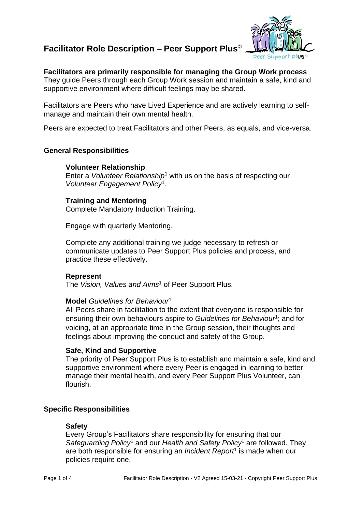# **Facilitator Role Description – Peer Support Plus**©



# **Facilitators are primarily responsible for managing the Group Work process**

They guide Peers through each Group Work session and maintain a safe, kind and supportive environment where difficult feelings may be shared.

Facilitators are Peers who have Lived Experience and are actively learning to selfmanage and maintain their own mental health.

Peers are expected to treat Facilitators and other Peers, as equals, and vice-versa.

# **General Responsibilities**

# **Volunteer Relationship**

Enter a *Volunteer Relationship*<sup>1</sup> with us on the basis of respecting our *Volunteer Engagement Policy*<sup>1</sup> .

# **Training and Mentoring**

Complete Mandatory Induction Training.

Engage with quarterly Mentoring.

Complete any additional training we judge necessary to refresh or communicate updates to Peer Support Plus policies and process, and practice these effectively.

## **Represent**

The *Vision, Values and Aims*<sup>1</sup> of Peer Support Plus.

## **Model** *Guidelines for Behaviour*<sup>1</sup>

All Peers share in facilitation to the extent that everyone is responsible for ensuring their own behaviours aspire to *Guidelines for Behaviour<sup>1</sup>;* and for voicing, at an appropriate time in the Group session, their thoughts and feelings about improving the conduct and safety of the Group.

# **Safe, Kind and Supportive**

The priority of Peer Support Plus is to establish and maintain a safe, kind and supportive environment where every Peer is engaged in learning to better manage their mental health, and every Peer Support Plus Volunteer, can flourish.

# **Specific Responsibilities**

## **Safety**

Every Group's Facilitators share responsibility for ensuring that our *Safeguarding Policy*<sup>1</sup> and our *Health and Safety Policy*<sup>1</sup> are followed. They are both responsible for ensuring an *Incident Report*<sup>1</sup> is made when our policies require one.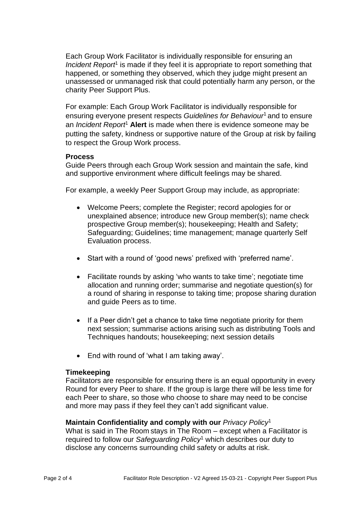Each Group Work Facilitator is individually responsible for ensuring an *Incident Report<sup>1</sup>* is made if they feel it is appropriate to report something that happened, or something they observed, which they judge might present an unassessed or unmanaged risk that could potentially harm any person, or the charity Peer Support Plus.

For example: Each Group Work Facilitator is individually responsible for ensuring everyone present respects *Guidelines for Behaviour*<sup>1</sup> and to ensure an *Incident Report*<sup>1</sup> **Alert** is made when there is evidence someone may be putting the safety, kindness or supportive nature of the Group at risk by failing to respect the Group Work process.

# **Process**

Guide Peers through each Group Work session and maintain the safe, kind and supportive environment where difficult feelings may be shared.

For example, a weekly Peer Support Group may include, as appropriate:

- Welcome Peers; complete the Register; record apologies for or unexplained absence; introduce new Group member(s); name check prospective Group member(s); housekeeping; Health and Safety; Safeguarding; Guidelines; time management; manage quarterly Self Evaluation process.
- Start with a round of 'good news' prefixed with 'preferred name'.
- Facilitate rounds by asking 'who wants to take time'; negotiate time allocation and running order; summarise and negotiate question(s) for a round of sharing in response to taking time; propose sharing duration and guide Peers as to time.
- If a Peer didn't get a chance to take time negotiate priority for them next session; summarise actions arising such as distributing Tools and Techniques handouts; housekeeping; next session details
- End with round of 'what I am taking away'.

# **Timekeeping**

Facilitators are responsible for ensuring there is an equal opportunity in every Round for every Peer to share. If the group is large there will be less time for each Peer to share, so those who choose to share may need to be concise and more may pass if they feel they can't add significant value.

# **Maintain Confidentiality and comply with our** *Privacy Policy*<sup>1</sup>

What is said in The Room stays in The Room – except when a Facilitator is required to follow our *Safeguarding Policy*<sup>1</sup> which describes our duty to disclose any concerns surrounding child safety or adults at risk.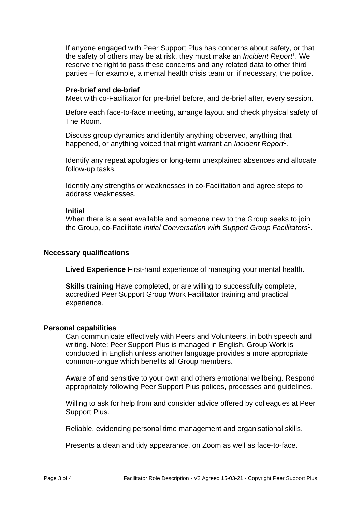If anyone engaged with Peer Support Plus has concerns about safety, or that the safety of others may be at risk, they must make an *Incident Report*<sup>1</sup> . We reserve the right to pass these concerns and any related data to other third parties – for example, a mental health crisis team or, if necessary, the police.

## **Pre-brief and de-brief**

Meet with co-Facilitator for pre-brief before, and de-brief after, every session.

Before each face-to-face meeting, arrange layout and check physical safety of The Room.

Discuss group dynamics and identify anything observed, anything that happened, or anything voiced that might warrant an *Incident Report*<sup>1</sup> .

Identify any repeat apologies or long-term unexplained absences and allocate follow-up tasks.

Identify any strengths or weaknesses in co-Facilitation and agree steps to address weaknesses.

#### **Initial**

When there is a seat available and someone new to the Group seeks to join the Group, co-Facilitate *Initial Conversation with Support Group Facilitators*<sup>1</sup> .

# **Necessary qualifications**

**Lived Experience** First-hand experience of managing your mental health.

**Skills training** Have completed, or are willing to successfully complete, accredited Peer Support Group Work Facilitator training and practical experience.

## **Personal capabilities**

Can communicate effectively with Peers and Volunteers, in both speech and writing. Note: Peer Support Plus is managed in English. Group Work is conducted in English unless another language provides a more appropriate common-tongue which benefits all Group members.

Aware of and sensitive to your own and others emotional wellbeing. Respond appropriately following Peer Support Plus polices, processes and guidelines.

Willing to ask for help from and consider advice offered by colleagues at Peer Support Plus.

Reliable, evidencing personal time management and organisational skills.

Presents a clean and tidy appearance, on Zoom as well as face-to-face.